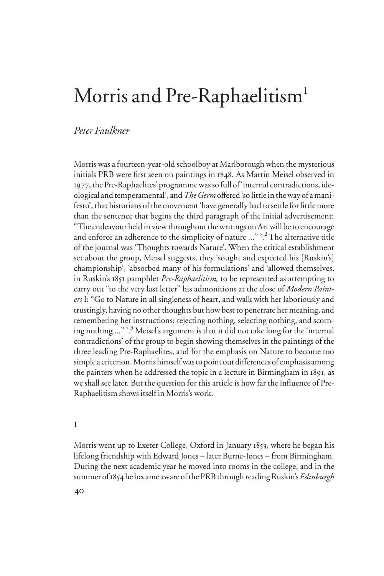# Morris and Pre-Raphaelitism<sup>1</sup>

# *Peter Faulkner*

Morris was a fourteen-year-old schoolboy at Marlborough when the mysterious initials PRB were first seen on paintings in 1848. As Martin Meisel observed in 1977, the Pre-Raphaelites' programme was so full of 'internal contradictions, ideological and temperamental', and *The Germ* offered 'so little in the way of a manifesto', that historians of the movement 'have generally had to settle for little more than the sentence that begins the third paragraph of the initial advertisement: "The endeavour held in view throughout the writings on Art will be to encourage and enforce an adherence to the simplicity of nature ..." '.<sup>2</sup> The alternative title of the journal was 'Thoughts towards Nature'. When the critical establishment set about the group, Meisel suggests, they 'sought and expected his [Ruskin's] championship', 'absorbed many of his formulations' and 'allowed themselves, in Ruskin's 1851 pamphlet *Pre-Raphaelitism,* to be represented as attempting to carry out "to the very last letter" his admonitions at the close of *Modern Painters* I: "Go to Nature in all singleness of heart, and walk with her laboriously and trustingly, having no other thoughts but how best to penetrate her meaning, and remembering her instructions; rejecting nothing, selecting nothing, and scorning nothing ..." '.<sup>3</sup> Meisel's argument is that it did not take long for the 'internal contradictions' of the group to begin showing themselves in the paintings of the three leading Pre-Raphaelites, and for the emphasis on Nature to become too simple a criterion. Morris himself was to point out differences of emphasis among the painters when he addressed the topic in a lecture in Birmingham in 1891, as we shall see later. But the question for this article is how far the influence of Pre-Raphaelitism shows itself in Morris's work.

#### i

Morris went up to Exeter College, Oxford in January 1853, where he began his lifelong friendship with Edward Jones – later Burne-Jones – from Birmingham. During the next academic year he moved into rooms in the college, and in the summer of 1854 he became aware of the PRB through reading Ruskin's *Edinburgh*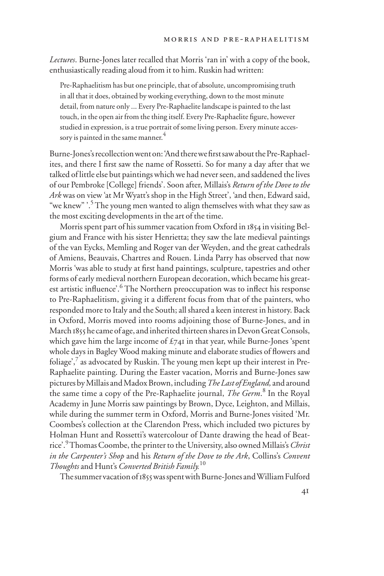*Lectures*. Burne-Jones later recalled that Morris 'ran in' with a copy of the book, enthusiastically reading aloud from it to him. Ruskin had written:

Pre-Raphaelitism has but one principle, that of absolute, uncompromising truth in all that it does, obtained by working everything, down to the most minute detail, from nature only ... Every Pre-Raphaelite landscape is painted to the last touch, in the open air from the thing itself. Every Pre-Raphaelite figure, however studied in expression, is a true portrait of some living person. Every minute accessory is painted in the same manner.<sup>4</sup>

Burne-Jones's recollection went on: 'And there we first saw about the Pre-Raphaelites, and there I first saw the name of Rossetti. So for many a day after that we talked of little else but paintings which we had never seen, and saddened the lives of our Pembroke [College] friends'. Soon after, Millais's *Return of the Dove to the Ark* was on view 'at Mr Wyatt's shop in the High Street', 'and then, Edward said, "we knew" '.<sup>5</sup> The young men wanted to align themselves with what they saw as the most exciting developments in the art of the time.

Morris spent part of his summer vacation from Oxford in 1854 in visiting Belgium and France with his sister Henrietta; they saw the late medieval paintings of the van Eycks, Memling and Roger van der Weyden, and the great cathedrals of Amiens, Beauvais, Chartres and Rouen. Linda Parry has observed that now Morris 'was able to study at first hand paintings, sculpture, tapestries and other forms of early medieval northern European decoration, which became his greatest artistic influence'.<sup>6</sup> The Northern preoccupation was to inflect his response to Pre-Raphaelitism, giving it a different focus from that of the painters, who responded more to Italy and the South; all shared a keen interest in history. Back in Oxford, Morris moved into rooms adjoining those of Burne-Jones, and in March 1855 he came of age, and inherited thirteen shares in Devon Great Consols, which gave him the large income of  $\pounds$ 741 in that year, while Burne-Jones 'spent whole days in Bagley Wood making minute and elaborate studies of flowers and foliage',<sup>7</sup> as advocated by Ruskin. The young men kept up their interest in Pre-Raphaelite painting. During the Easter vacation, Morris and Burne-Jones saw pictures by Millais and Madox Brown, including *The Last of England,* and around the same time a copy of the Pre-Raphaelite journal, *The Germ*. 8 In the Royal Academy in June Morris saw paintings by Brown, Dyce, Leighton, and Millais, while during the summer term in Oxford, Morris and Burne-Jones visited 'Mr. Coombes's collection at the Clarendon Press, which included two pictures by Holman Hunt and Rossetti's watercolour of Dante drawing the head of Beatrice'.<sup>9</sup> Thomas Coombe, the printer to the University, also owned Millais's *Christ in the Carpenter's Shop* and his *Return of the Dove to the Ark*, Collins's *Convent Thoughts* and Hunt's *Converted British Family.*<sup>10</sup>

The summer vacation of 1855 was spent with Burne-Jones and William Fulford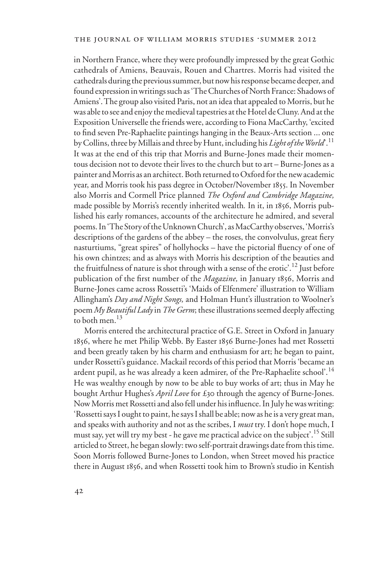in Northern France, where they were profoundly impressed by the great Gothic cathedrals of Amiens, Beauvais, Rouen and Chartres. Morris had visited the cathedrals during the previous summer, but now his response became deeper, and found expression in writings such as 'The Churches of North France: Shadows of Amiens'. The group also visited Paris, not an idea that appealed to Morris, but he was able to see and enjoy the medieval tapestries at the Hotel de Cluny. And at the Exposition Universelle the friends were, according to Fiona MacCarthy, 'excited to find seven Pre-Raphaelite paintings hanging in the Beaux-Arts section ... one by Collins, three by Millais and three by Hunt, including his *Light of the World*'.<sup>11</sup> It was at the end of this trip that Morris and Burne-Jones made their momentous decision not to devote their lives to the church but to art – Burne-Jones as a painter and Morris as an architect. Both returned to Oxford for the new academic year, and Morris took his pass degree in October/November 1855. In November also Morris and Cormell Price planned *The Oxford and Cambridge Magazine,*  made possible by Morris's recently inherited wealth*.* In it, in 1856, Morris published his early romances, accounts of the architecture he admired, and several poems. In 'The Story of the Unknown Church', as MacCarthy observes, 'Morris's descriptions of the gardens of the abbey – the roses, the convolvulus, great fiery nasturtiums, "great spires" of hollyhocks – have the pictorial fluency of one of his own chintzes; and as always with Morris his description of the beauties and the fruitfulness of nature is shot through with a sense of the erotic'.<sup>12</sup> Just before publication of the first number of the *Magazine*, in January 1856, Morris and Burne-Jones came across Rossetti's 'Maids of Elfenmere' illustration to William Allingham's *Day and Night Songs,* and Holman Hunt's illustration to Woolner's poem *My Beautiful Lady* in *The Germ*; these illustrations seemed deeply affecting to both men. $^{13}$ 

Morris entered the architectural practice of G.E. Street in Oxford in January 1856, where he met Philip Webb. By Easter 1856 Burne-Jones had met Rossetti and been greatly taken by his charm and enthusiasm for art; he began to paint, under Rossetti's guidance. Mackail records of this period that Morris 'became an ardent pupil, as he was already a keen admirer, of the Pre-Raphaelite school'.<sup>14</sup> He was wealthy enough by now to be able to buy works of art; thus in May he bought Arthur Hughes's *April Love* for £30 through the agency of Burne-Jones. Now Morris met Rossetti and also fell under his influence. In July he was writing: 'Rossetti says I ought to paint, he says I shall be able; now as he is a very great man, and speaks with authority and not as the scribes, I *must* try. I don't hope much, I must say, yet will try my best - he gave me practical advice on the subject'.<sup>15</sup> Still articled to Street, he began slowly: two self-portrait drawings date from this time. Soon Morris followed Burne-Jones to London, when Street moved his practice there in August 1856, and when Rossetti took him to Brown's studio in Kentish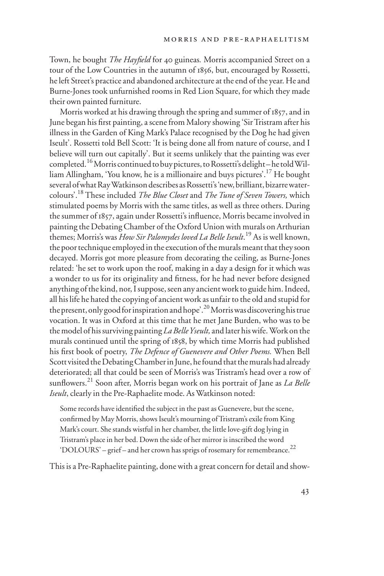Town, he bought *The Hayfield* for 40 guineas. Morris accompanied Street on a tour of the Low Countries in the autumn of 1856, but, encouraged by Rossetti, he left Street's practice and abandoned architecture at the end of the year. He and Burne-Jones took unfurnished rooms in Red Lion Square, for which they made their own painted furniture.

Morris worked at his drawing through the spring and summer of 1857, and in June began his first painting, a scene from Malory showing 'Sir Tristram after his illness in the Garden of King Mark's Palace recognised by the Dog he had given Iseult'. Rossetti told Bell Scott: 'It is being done all from nature of course, and I believe will turn out capitally'. But it seems unlikely that the painting was ever completed.<sup>16</sup> Morris continued to buy pictures, to Rossetti's delight-he told William Allingham, 'You know, he is a millionaire and buys pictures'.17 He bought several of what Ray Watkinson describes as Rossetti's 'new, brilliant, bizarre watercolours'.18 These included *The Blue Closet* and *The Tune of Seven Towers,* which stimulated poems by Morris with the same titles, as well as three others. During the summer of 1857, again under Rossetti's influence, Morris became involved in painting the Debating Chamber of the Oxford Union with murals on Arthurian themes; Morris's was *How Sir Palomydes loved La Belle Iseult*. <sup>19</sup> As is well known, the poor technique employed in the execution of the murals meant that they soon decayed. Morris got more pleasure from decorating the ceiling, as Burne-Jones related: 'he set to work upon the roof, making in a day a design for it which was a wonder to us for its originality and fitness, for he had never before designed anything of the kind, nor, I suppose, seen any ancient work to guide him. Indeed, all his life he hated the copying of ancient work as unfair to the old and stupid for the present, only good for inspiration and hope'.<sup>20</sup> Morris was discovering his true vocation. It was in Oxford at this time that he met Jane Burden, who was to be the model of his surviving painting *La Belle Yseult,* and later his wife.Work on the murals continued until the spring of 1858, by which time Morris had published his first book of poetry, *The Defence of Guenevere and Other Poems*. When Bell Scott visited the Debating Chamber in June, he found that the murals had already deteriorated; all that could be seen of Morris's was Tristram's head over a row of sunflowers.<sup>21</sup> Soon after, Morris began work on his portrait of Jane as *La Belle Iseult*, clearly in the Pre-Raphaelite mode. As Watkinson noted:

Some records have identified the subject in the past as Guenevere, but the scene, confirmed by May Morris, shows Iseult's mourning of Tristram's exile from King Mark's court. She stands wistful in her chamber, the little love-gift dog lying in Tristram's place in her bed. Down the side of her mirror is inscribed the word 'DOLOURS' – grief – and her crown has sprigs of rosemary for remembrance. $^{22}$ 

This is a Pre-Raphaelite painting, done with a great concern for detail and show-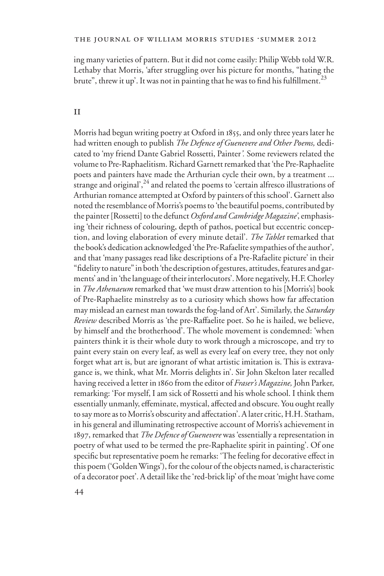ing many varieties of pattern. But it did not come easily: Philip Webb told W.R. Lethaby that Morris, 'after struggling over his picture for months, "hating the brute", threw it up'. It was not in painting that he was to find his fulfillment.<sup>23</sup>

#### ii

Morris had begun writing poetry at Oxford in 1855, and only three years later he had written enough to publish *The Defence of Guenevere and Other Poems,* dedicated to 'my friend Dante Gabriel Rossetti, Painter*'.* Some reviewers related the volume to Pre-Raphaelitism. Richard Garnett remarked that 'the Pre-Raphaelite poets and painters have made the Arthurian cycle their own, by a treatment ... strange and original',<sup>24</sup> and related the poems to 'certain alfresco illustrations of Arthurian romance attempted at Oxford by painters of this school'. Garnett also noted the resemblance of Morris's poems to 'the beautiful poems, contributed by the painter [Rossetti] to the defunct *Oxford and Cambridge Magazine'*, emphasising 'their richness of colouring, depth of pathos, poetical but eccentric conception, and loving elaboration of every minute detail'. *The Tablet* remarked that the book's dedication acknowledged 'the Pre-Rafaelite sympathies of the author'*,*  and that 'many passages read like descriptions of a Pre-Rafaelite picture' in their "fidelity to nature" in both 'the description of gestures, attitudes, features and garments' and in 'the language of their interlocutors'. More negatively, H.F. Chorley in *The Athenaeum* remarked that 'we must draw attention to his [Morris's] book of Pre-Raphaelite minstrelsy as to a curiosity which shows how far affectation may mislead an earnest man towards the fog-land of Art'. Similarly, the *Saturday Review* described Morris as 'the pre-Raffaelite poet. So he is hailed, we believe, by himself and the brotherhood'. The whole movement is condemned: 'when painters think it is their whole duty to work through a microscope, and try to paint every stain on every leaf, as well as every leaf on every tree, they not only forget what art is, but are ignorant of what artistic imitation is. This is extravagance is, we think, what Mr. Morris delights in'. Sir John Skelton later recalled having received a letter in 1860 from the editor of *Fraser's Magazine,* John Parker, remarking: 'For myself, I am sick of Rossetti and his whole school. I think them essentially unmanly, effeminate, mystical, affected and obscure. You ought really to say more as to Morris's obscurity and affectation'. A later critic, H.H. Statham, in his general and illuminating retrospective account of Morris's achievement in 1897, remarked that *The Defence of Guenevere* was 'essentially a representation in poetry of what used to be termed the pre-Raphaelite spirit in painting'. Of one specific but representative poem he remarks: 'The feeling for decorative effect in this poem ('Golden Wings'), for the colour of the objects named, is characteristic of a decorator poet'. A detail like the 'red-brick lip' of the moat 'might have come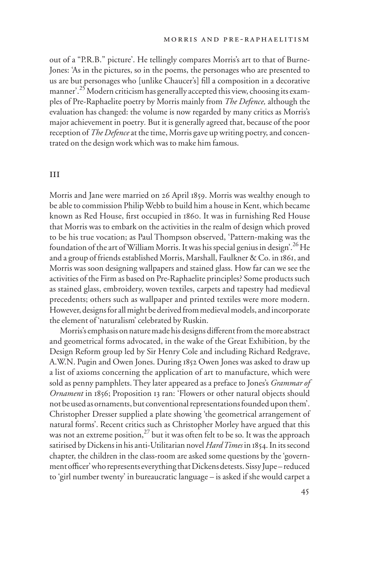out of a "P.R.B." picture'. He tellingly compares Morris's art to that of Burne-Jones: 'As in the pictures, so in the poems, the personages who are presented to us are but personages who [unlike Chaucer's] fill a composition in a decorative manner'.<sup>25</sup> Modern criticism has generally accepted this view, choosing its examples of Pre-Raphaelite poetry by Morris mainly from *The Defence,* although the evaluation has changed: the volume is now regarded by many critics as Morris's major achievement in poetry*.* But it is generally agreed that, because of the poor reception of *The Defence* at the time, Morris gave up writing poetry, and concentrated on the design work which was to make him famous.

#### iii

Morris and Jane were married on 26 April 1859. Morris was wealthy enough to be able to commission Philip Webb to build him a house in Kent, which became known as Red House, first occupied in 1860. It was in furnishing Red House that Morris was to embark on the activities in the realm of design which proved to be his true vocation; as Paul Thompson observed, 'Pattern-making was the foundation of the art of William Morris. It was his special genius in design'.26 He and a group of friends established Morris, Marshall, Faulkner & Co. in 1861, and Morris was soon designing wallpapers and stained glass. How far can we see the activities of the Firm as based on Pre-Raphaelite principles? Some products such as stained glass, embroidery, woven textiles, carpets and tapestry had medieval precedents; others such as wallpaper and printed textiles were more modern. However, designs for all might be derived from medieval models, and incorporate the element of 'naturalism' celebrated by Ruskin.

Morris's emphasis on nature made his designs different from the more abstract and geometrical forms advocated, in the wake of the Great Exhibition, by the Design Reform group led by Sir Henry Cole and including Richard Redgrave, A.W.N. Pugin and Owen Jones. During 1852 Owen Jones was asked to draw up a list of axioms concerning the application of art to manufacture, which were sold as penny pamphlets. They later appeared as a preface to Jones's *Grammar of Ornament* in 1856; Proposition 13 ran: 'Flowers or other natural objects should not be used as ornaments, but conventional representations founded upon them'. Christopher Dresser supplied a plate showing 'the geometrical arrangement of natural forms'. Recent critics such as Christopher Morley have argued that this was not an extreme position,  $27$  but it was often felt to be so. It was the approach satirised by Dickens in his anti-Utilitarian novel *Hard Times* in 1854. In its second chapter, the children in the class-room are asked some questions by the 'government officer' who represents everything that Dickens detests. Sissy Jupe – reduced to 'girl number twenty' in bureaucratic language – is asked if she would carpet a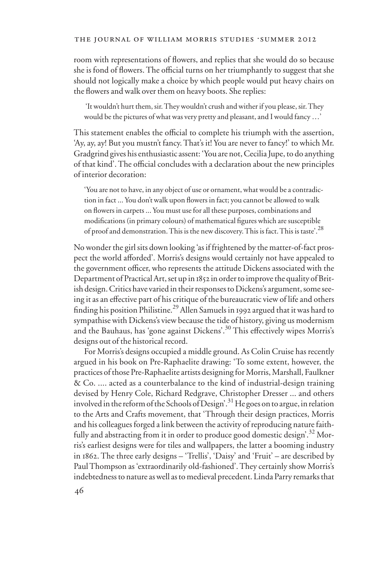room with representations of flowers, and replies that she would do so because she is fond of flowers. The official turns on her triumphantly to suggest that she should not logically make a choice by which people would put heavy chairs on the flowers and walk over them on heavy boots. She replies:

 'It wouldn't hurt them, sir. They wouldn't crush and wither if you please, sir. They would be the pictures of what was very pretty and pleasant, and I would fancy …'

This statement enables the official to complete his triumph with the assertion, 'Ay, ay, ay! But you mustn't fancy. That's it! You are never to fancy!' to which Mr. Gradgrind gives his enthusiastic assent: 'You are not, Cecilia Jupe, to do anything of that kind'. The official concludes with a declaration about the new principles of interior decoration:

'You are not to have, in any object of use or ornament, what would be a contradiction in fact ... You don't walk upon flowers in fact; you cannot be allowed to walk on flowers in carpets ... You must use for all these purposes, combinations and modifications (in primary colours) of mathematical figures which are susceptible of proof and demonstration. This is the new discovery. This is fact. This is taste'.<sup>28</sup>

No wonder the girl sits down looking 'as if frightened by the matter-of-fact prospect the world afforded'. Morris's designs would certainly not have appealed to the government officer, who represents the attitude Dickens associated with the Department of Practical Art, set up in 1852 in order to improve the quality of British design. Critics have varied in their responses to Dickens's argument, some seeing it as an effective part of his critique of the bureaucratic view of life and others finding his position Philistine.<sup>29</sup> Allen Samuels in 1992 argued that it was hard to sympathise with Dickens's view because the tide of history, giving us modernism and the Bauhaus, has 'gone against Dickens'.<sup>30</sup> This effectively wipes Morris's designs out of the historical record.

For Morris's designs occupied a middle ground. As Colin Cruise has recently argued in his book on Pre-Raphaelite drawing: 'To some extent, however, the practices of those Pre-Raphaelite artists designing for Morris, Marshall, Faulkner & Co. .... acted as a counterbalance to the kind of industrial-design training devised by Henry Cole, Richard Redgrave, Christopher Dresser ... and others involved in the reform of the Schools of Design'.<sup>31</sup> He goes on to argue, in relation to the Arts and Crafts movement, that 'Through their design practices, Morris and his colleagues forged a link between the activity of reproducing nature faithfully and abstracting from it in order to produce good domestic design'.<sup>32</sup> Morris's earliest designs were for tiles and wallpapers, the latter a booming industry in 1862. The three early designs – 'Trellis', 'Daisy' and 'Fruit' – are described by Paul Thompson as 'extraordinarily old-fashioned'. They certainly show Morris's indebtedness to nature as well as to medieval precedent. Linda Parry remarks that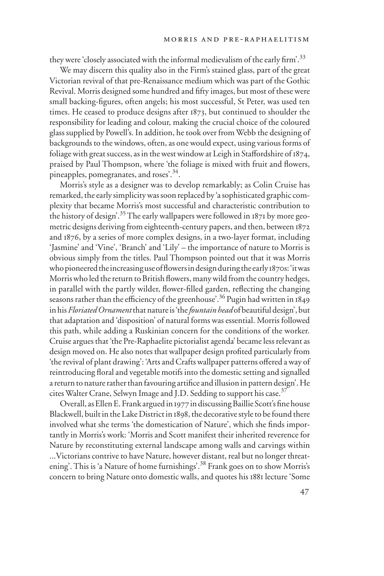they were 'closely associated with the informal medievalism of the early firm'.<sup>33</sup>

We may discern this quality also in the Firm's stained glass, part of the great Victorian revival of that pre-Renaissance medium which was part of the Gothic Revival. Morris designed some hundred and fifty images, but most of these were small backing-figures, often angels; his most successful, St Peter, was used ten times. He ceased to produce designs after 1873, but continued to shoulder the responsibility for leading and colour, making the crucial choice of the coloured glass supplied by Powell's. In addition, he took over from Webb the designing of backgrounds to the windows, often, as one would expect, using various forms of foliage with great success, as in the west window at Leigh in Staffordshire of 1874, praised by Paul Thompson, where 'the foliage is mixed with fruit and flowers, pineapples, pomegranates, and roses<sup>34</sup>.

Morris's style as a designer was to develop remarkably; as Colin Cruise has remarked, the early simplicity was soon replaced by 'a sophisticated graphic complexity that became Morris's most successful and characteristic contribution to the history of design'.<sup>35</sup> The early wallpapers were followed in 1871 by more geometric designs deriving from eighteenth-century papers, and then, between 1872 and 1876, by a series of more complex designs, in a two-layer format, including 'Jasmine' and 'Vine', 'Branch' and 'Lily' – the importance of nature to Morris is obvious simply from the titles. Paul Thompson pointed out that it was Morris who pioneered the increasing use of flowers in design during the early 1870s: 'it was Morris who led the return to British flowers, many wild from the country hedges, in parallel with the partly wilder, flower-filled garden, reflecting the changing seasons rather than the efficiency of the greenhouse'.<sup>36</sup> Pugin had written in 1849 in his *Floriated Ornament* that nature is 'the *fountain head* of beautiful design', but that adaptation and 'disposition' of natural forms was essential. Morris followed this path, while adding a Ruskinian concern for the conditions of the worker. Cruise argues that 'the Pre-Raphaelite pictorialist agenda' became less relevant as design moved on. He also notes that wallpaper design profited particularly from 'the revival of plant drawing': 'Arts and Crafts wallpaper patterns offered a way of reintroducing floral and vegetable motifs into the domestic setting and signalled a return to nature rather than favouring artifice and illusion in pattern design'. He cites Walter Crane, Selwyn Image and J.D. Sedding to support his case.<sup>37</sup>

Overall, as Ellen E. Frank argued in 1977 in discussing Baillie Scott's fine house Blackwell, built in the Lake District in 1898, the decorative style to be found there involved what she terms 'the domestication of Nature', which she finds importantly in Morris's work: 'Morris and Scott manifest their inherited reverence for Nature by reconstituting external landscape among walls and carvings within ...Victorians contrive to have Nature, however distant, real but no longer threatening'. This is 'a Nature of home furnishings'.<sup>38</sup> Frank goes on to show Morris's concern to bring Nature onto domestic walls, and quotes his 1881 lecture 'Some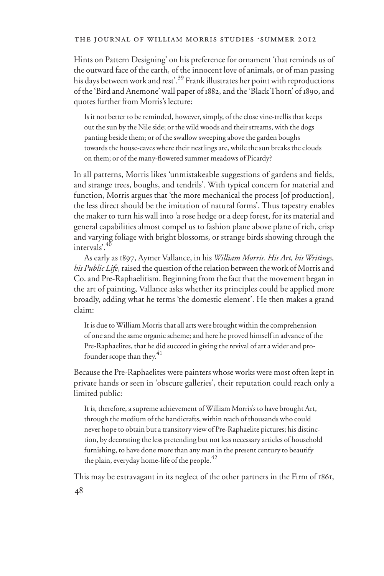Hints on Pattern Designing' on his preference for ornament 'that reminds us of the outward face of the earth, of the innocent love of animals, or of man passing his days between work and rest'.<sup>39</sup> Frank illustrates her point with reproductions of the 'Bird and Anemone' wall paper of 1882, and the 'Black Thorn' of 1890, and quotes further from Morris's lecture:

Is it not better to be reminded, however, simply, of the close vine-trellis that keeps out the sun by the Nile side; or the wild woods and their streams, with the dogs panting beside them; or of the swallow sweeping above the garden boughs towards the house-eaves where their nestlings are, while the sun breaks the clouds on them; or of the many-flowered summer meadows of Picardy?

In all patterns, Morris likes 'unmistakeable suggestions of gardens and fields, and strange trees, boughs, and tendrils'. With typical concern for material and function, Morris argues that 'the more mechanical the process [of production], the less direct should be the imitation of natural forms'. Thus tapestry enables the maker to turn his wall into 'a rose hedge or a deep forest, for its material and general capabilities almost compel us to fashion plane above plane of rich, crisp and varying foliage with bright blossoms, or strange birds showing through the intervals'.<sup>40</sup>

As early as 1897, Aymer Vallance, in his *William Morris. His Art, his Writings, his Public Life,* raised the question of the relation between the work of Morris and Co. and Pre-Raphaelitism. Beginning from the fact that the movement began in the art of painting, Vallance asks whether its principles could be applied more broadly, adding what he terms 'the domestic element'. He then makes a grand claim:

It is due to William Morris that all arts were brought within the comprehension of one and the same organic scheme; and here he proved himself in advance of the Pre-Raphaelites, that he did succeed in giving the revival of art a wider and profounder scope than they. $41$ 

Because the Pre-Raphaelites were painters whose works were most often kept in private hands or seen in 'obscure galleries', their reputation could reach only a limited public:

It is, therefore, a supreme achievement of William Morris's to have brought Art, through the medium of the handicrafts, within reach of thousands who could never hope to obtain but a transitory view of Pre-Raphaelite pictures; his distinction, by decorating the less pretending but not less necessary articles of household furnishing, to have done more than any man in the present century to beautify the plain, everyday home-life of the people.<sup>42</sup>

This may be extravagant in its neglect of the other partners in the Firm of 1861,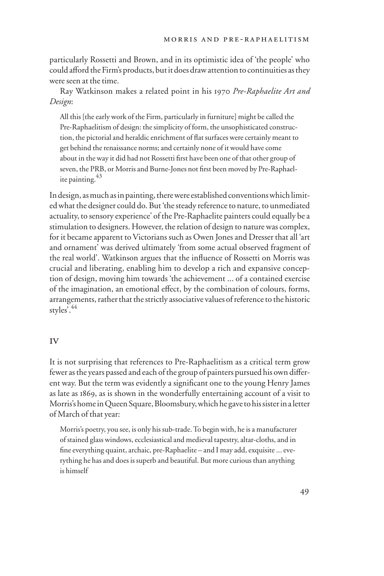particularly Rossetti and Brown, and in its optimistic idea of 'the people' who could afford the Firm's products, but it does draw attention to continuities as they were seen at the time.

Ray Watkinson makes a related point in his 1970 *Pre-Raphaelite Art and Design*:

All this [the early work of the Firm, particularly in furniture] might be called the Pre-Raphaelitism of design: the simplicity of form, the unsophisticated construction, the pictorial and heraldic enrichment of flat surfaces were certainly meant to get behind the renaissance norms; and certainly none of it would have come about in the way it did had not Rossetti first have been one of that other group of seven, the PRB, or Morris and Burne-Jones not first been moved by Pre-Raphaelite painting.<sup>43</sup>

In design, as much as in painting, there were established conventions which limited what the designer could do. But 'the steady reference to nature, to unmediated actuality, to sensory experience' of the Pre-Raphaelite painters could equally be a stimulation to designers. However, the relation of design to nature was complex, for it became apparent to Victorians such as Owen Jones and Dresser that all 'art and ornament' was derived ultimately 'from some actual observed fragment of the real world'. Watkinson argues that the influence of Rossetti on Morris was crucial and liberating, enabling him to develop a rich and expansive conception of design, moving him towards 'the achievement ... of a contained exercise of the imagination, an emotional effect, by the combination of colours, forms, arrangements, rather that the strictly associative values of reference to the historic styles'.<sup>44</sup>

### iv

It is not surprising that references to Pre-Raphaelitism as a critical term grow fewer as the years passed and each of the group of painters pursued his own different way. But the term was evidently a significant one to the young Henry James as late as 1869, as is shown in the wonderfully entertaining account of a visit to Morris's home in Queen Square, Bloomsbury, which he gave to his sister in a letter of March of that year:

Morris's poetry, you see, is only his sub-trade. To begin with, he is a manufacturer of stained glass windows, ecclesiastical and medieval tapestry, altar-cloths, and in fine everything quaint, archaic, pre-Raphaelite – and I may add, exquisite ... everything he has and does is superb and beautiful. But more curious than anything is himself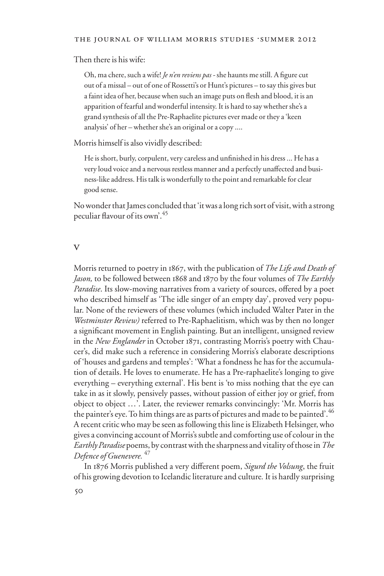Then there is his wife:

Oh, ma chere, such a wife! *Je n'en reviens pas -* she haunts me still. A figure cut out of a missal – out of one of Rossetti's or Hunt's pictures – to say this gives but a faint idea of her, because when such an image puts on flesh and blood, it is an apparition of fearful and wonderful intensity. It is hard to say whether she's a grand synthesis of all the Pre-Raphaelite pictures ever made or they a 'keen analysis' of her – whether she's an original or a copy ....

Morris himself is also vividly described:

He is short, burly, corpulent, very careless and unfinished in his dress ... He has a very loud voice and a nervous restless manner and a perfectly unaffected and business-like address. His talk is wonderfully to the point and remarkable for clear good sense.

No wonder that James concluded that 'it was a long rich sort of visit, with a strong peculiar flavour of its own<sup>'.45</sup>

#### v

Morris returned to poetry in 1867, with the publication of *The Life and Death of Jason,* to be followed between 1868 and 1870 by the four volumes of *The Earthly Paradise*. Its slow-moving narratives from a variety of sources, offered by a poet who described himself as 'The idle singer of an empty day', proved very popular. None of the reviewers of these volumes (which included Walter Pater in the *Westminster Review)* referred to Pre-Raphaelitism, which was by then no longer a significant movement in English painting. But an intelligent, unsigned review in the *New Englander* in October 1871, contrasting Morris's poetry with Chaucer's, did make such a reference in considering Morris's elaborate descriptions of 'houses and gardens and temples': 'What a fondness he has for the accumulation of details. He loves to enumerate. He has a Pre-raphaelite's longing to give everything – everything external'. His bent is 'to miss nothing that the eye can take in as it slowly, pensively passes, without passion of either joy or grief, from object to object …'. Later, the reviewer remarks convincingly: 'Mr. Morris has the painter's eye. To him things are as parts of pictures and made to be painted'.  $^{46}$ A recent critic who may be seen as following this line is Elizabeth Helsinger, who gives a convincing account of Morris's subtle and comforting use of colour in the *Earthly Paradise* poems, by contrast with the sharpness and vitality of those in *The Defence of Guenevere.* <sup>47</sup>

In 1876 Morris published a very different poem, *Sigurd the Volsung*, the fruit of his growing devotion to Icelandic literature and culture*.* It is hardly surprising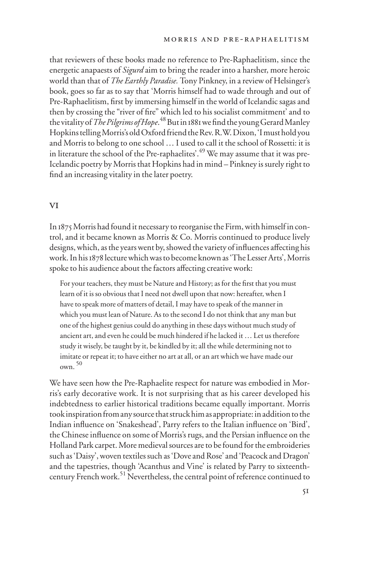that reviewers of these books made no reference to Pre-Raphaelitism, since the energetic anapaests of *Sigurd* aim to bring the reader into a harsher, more heroic world than that of *The Earthly Paradise.* Tony Pinkney, in a review of Helsinger's book, goes so far as to say that 'Morris himself had to wade through and out of Pre-Raphaelitism, first by immersing himself in the world of Icelandic sagas and then by crossing the "river of fire" which led to his socialist commitment' and to the vitality of *The Pilgrims of Hope*.<sup>48</sup> But in 1881 we find the young Gerard Manley Hopkins telling Morris's old Oxford friend the Rev. R.W. Dixon, 'I must hold you and Morris to belong to one school … I used to call it the school of Rossetti: it is in literature the school of the Pre-raphaelites'.<sup>49</sup> We may assume that it was pre-Icelandic poetry by Morris that Hopkins had in mind – Pinkney is surely right to find an increasing vitality in the later poetry.

## vi

In 1875 Morris had found it necessary to reorganise the Firm, with himself in control, and it became known as Morris & Co. Morris continued to produce lively designs, which, as the years went by, showed the variety of influences affecting his work. In his 1878 lecture which was to become known as 'The Lesser Arts', Morris spoke to his audience about the factors affecting creative work:

For your teachers, they must be Nature and History; as for the first that you must learn of it is so obvious that I need not dwell upon that now: hereafter, when I have to speak more of matters of detail, I may have to speak of the manner in which you must lean of Nature. As to the second I do not think that any man but one of the highest genius could do anything in these days without much study of ancient art, and even he could be much hindered if he lacked it … Let us therefore study it wisely, be taught by it, be kindled by it; all the while determining not to imitate or repeat it; to have either no art at all, or an art which we have made our  $own<sup>50</sup>$ 

We have seen how the Pre-Raphaelite respect for nature was embodied in Morris's early decorative work. It is not surprising that as his career developed his indebtedness to earlier historical traditions became equally important. Morris took inspiration from any source that struck him as appropriate: in addition to the Indian influence on 'Snakeshead', Parry refers to the Italian influence on 'Bird', the Chinese influence on some of Morris's rugs, and the Persian influence on the Holland Park carpet. More medieval sources are to be found for the embroideries such as 'Daisy', woven textiles such as 'Dove and Rose' and 'Peacock and Dragon' and the tapestries, though 'Acanthus and Vine' is related by Parry to sixteenthcentury French work.51 Nevertheless, the central point of reference continued to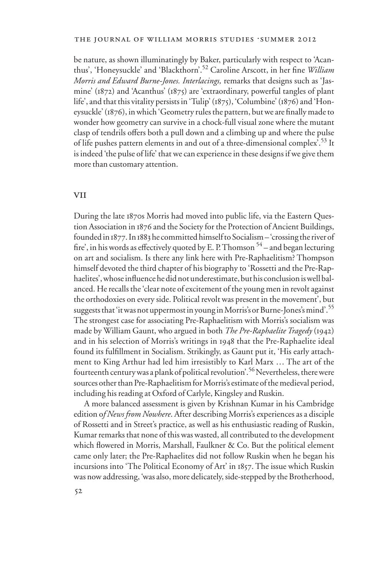be nature, as shown illuminatingly by Baker, particularly with respect to 'Acanthus', 'Honeysuckle' and 'Blackthorn'.<sup>52</sup> Caroline Arscott, in her fine *William Morris and Edward Burne-Jones. Interlacings,* remarks that designs such as 'Jasmine' (1872) and 'Acanthus' (1875) are 'extraordinary, powerful tangles of plant life', and that this vitality persists in 'Tulip'(1875), 'Columbine' (1876) and 'Honeysuckle' (1876), in which 'Geometry rules the pattern, but we are finally made to wonder how geometry can survive in a chock-full visual zone where the mutant clasp of tendrils offers both a pull down and a climbing up and where the pulse of life pushes pattern elements in and out of a three-dimensional complex<sup>'.53</sup> It is indeed 'the pulse of life' that we can experience in these designs if we give them more than customary attention.

#### **VII**

During the late 1870s Morris had moved into public life, via the Eastern Question Association in 1876 and the Society for the Protection of Ancient Buildings, founded in 1877. In 1883 he committed himself to Socialism – 'crossing the river of fire', in his words as effectively quoted by E. P. Thomson  $54$  – and began lecturing on art and socialism. Is there any link here with Pre-Raphaelitism? Thompson himself devoted the third chapter of his biography to 'Rossetti and the Pre-Raphaelites', whose influence he did not underestimate, but his conclusion is well balanced. He recalls the 'clear note of excitement of the young men in revolt against the orthodoxies on every side. Political revolt was present in the movement', but suggests that 'it was not uppermost in young in Morris's or Burne-Jones's mind'.55 The strongest case for associating Pre-Raphaelitism with Morris's socialism was made by William Gaunt, who argued in both *The Pre-Raphaelite Tragedy* (1942) and in his selection of Morris's writings in 1948 that the Pre-Raphaelite ideal found its fulfillment in Socialism. Strikingly, as Gaunt put it, 'His early attachment to King Arthur had led him irresistibly to Karl Marx … The art of the fourteenth century was a plank of political revolution<sup>', 56</sup> Nevertheless, there were sources other than Pre-Raphaelitism for Morris's estimate of the medieval period, including his reading at Oxford of Carlyle, Kingsley and Ruskin.

A more balanced assessment is given by Krishnan Kumar in his Cambridge edition o*f News from Nowhere*. After describing Morris's experiences as a disciple of Rossetti and in Street's practice, as well as his enthusiastic reading of Ruskin, Kumar remarks that none of this was wasted, all contributed to the development which flowered in Morris, Marshall, Faulkner & Co. But the political element came only later; the Pre-Raphaelites did not follow Ruskin when he began his incursions into 'The Political Economy of Art' in 1857. The issue which Ruskin was now addressing, 'was also, more delicately, side-stepped by the Brotherhood,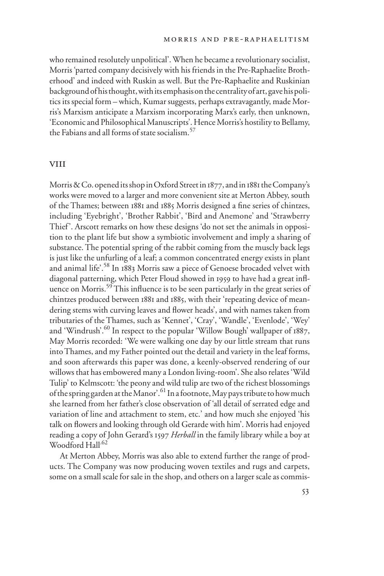who remained resolutely unpolitical'. When he became a revolutionary socialist, Morris 'parted company decisively with his friends in the Pre-Raphaelite Brotherhood' and indeed with Ruskin as well. But the Pre-Raphaelite and Ruskinian background of his thought, with its emphasis on the centrality of art, gave his politics its special form – which, Kumar suggests, perhaps extravagantly, made Morris's Marxism anticipate a Marxism incorporating Marx's early, then unknown, 'Economic and Philosophical Manuscripts'. Hence Morris's hostility to Bellamy, the Fabians and all forms of state socialism.<sup>57</sup>

#### **VIII**

Morris & Co. opened its shop in Oxford Street in 1877, and in 1881 the Company's works were moved to a larger and more convenient site at Merton Abbey, south of the Thames; between 1881 and 1885 Morris designed a fine series of chintzes, including 'Eyebright', 'Brother Rabbit', 'Bird and Anemone' and 'Strawberry Thief'. Arscott remarks on how these designs 'do not set the animals in opposition to the plant life but show a symbiotic involvement and imply a sharing of substance. The potential spring of the rabbit coming from the muscly back legs is just like the unfurling of a leaf; a common concentrated energy exists in plant and animal life'.<sup>58</sup> In 1883 Morris saw a piece of Genoese brocaded velvet with diagonal patterning, which Peter Floud showed in 1959 to have had a great influence on Morris.<sup>59</sup> This influence is to be seen particularly in the great series of chintzes produced between 1881 and 1885, with their 'repeating device of meandering stems with curving leaves and flower heads', and with names taken from tributaries of the Thames, such as 'Kennet', 'Cray', 'Wandle', 'Evenlode', 'Wey' and 'Windrush'.<sup>60</sup> In respect to the popular 'Willow Bough' wallpaper of 1887, May Morris recorded: 'We were walking one day by our little stream that runs into Thames, and my Father pointed out the detail and variety in the leaf forms, and soon afterwards this paper was done, a keenly-observed rendering of our willows that has embowered many a London living-room'. She also relates 'Wild Tulip' to Kelmscott: 'the peony and wild tulip are two of the richest blossomings of the spring garden at the Manor'.<sup>61</sup> In a footnote, May pays tribute to how much she learned from her father's close observation of 'all detail of serrated edge and variation of line and attachment to stem, etc.' and how much she enjoyed 'his talk on flowers and looking through old Gerarde with him'. Morris had enjoyed reading a copy of John Gerard's 1597 *Herball* in the family library while a boy at Woodford Hall<sup>.62</sup>

At Merton Abbey, Morris was also able to extend further the range of products. The Company was now producing woven textiles and rugs and carpets, some on a small scale for sale in the shop, and others on a larger scale as commis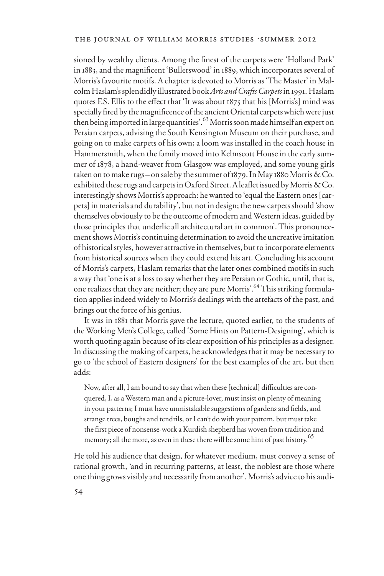sioned by wealthy clients. Among the finest of the carpets were 'Holland Park' in 1883, and the magnificent 'Bullerswood' in 1889, which incorporates several of Morris's favourite motifs. A chapter is devoted to Morris as 'The Master' in Malcolm Haslam's splendidly illustrated book *Arts and Crafts Carpets* in 1991. Haslam quotes F.S. Ellis to the effect that 'It was about 1875 that his [Morris's] mind was specially fired by the magnificence of the ancient Oriental carpets which were just then being imported in large quantities'. <sup>63</sup> Morris soon made himself an expert on Persian carpets, advising the South Kensington Museum on their purchase, and going on to make carpets of his own; a loom was installed in the coach house in Hammersmith, when the family moved into Kelmscott House in the early summer of 1878, a hand-weaver from Glasgow was employed, and some young girls taken on to make rugs – on sale by the summer of 1879. In May 1880 Morris & Co. exhibited these rugs and carpets in Oxford Street. A leaflet issued by Morris & Co. interestingly shows Morris's approach: he wanted to 'equal the Eastern ones [carpets] in materials and durability', but not in design; the new carpets should 'show themselves obviously to be the outcome of modern and Western ideas, guided by those principles that underlie all architectural art in common'. This pronouncement shows Morris's continuing determination to avoid the uncreative imitation of historical styles, however attractive in themselves, but to incorporate elements from historical sources when they could extend his art. Concluding his account of Morris's carpets, Haslam remarks that the later ones combined motifs in such a way that 'one is at a loss to say whether they are Persian or Gothic, until, that is, one realizes that they are neither; they are pure Morris'.<sup>64</sup> This striking formulation applies indeed widely to Morris's dealings with the artefacts of the past, and brings out the force of his genius.

It was in 1881 that Morris gave the lecture, quoted earlier, to the students of the Working Men's College, called 'Some Hints on Pattern-Designing', which is worth quoting again because of its clear exposition of his principles as a designer. In discussing the making of carpets, he acknowledges that it may be necessary to go to 'the school of Eastern designers' for the best examples of the art, but then adds:

Now, after all, I am bound to say that when these [technical] difficulties are conquered, I, as a Western man and a picture-lover, must insist on plenty of meaning in your patterns; I must have unmistakable suggestions of gardens and fields, and strange trees, boughs and tendrils, or I can't do with your pattern, but must take the first piece of nonsense-work a Kurdish shepherd has woven from tradition and memory; all the more, as even in these there will be some hint of past history.<sup>65</sup>

He told his audience that design, for whatever medium, must convey a sense of rational growth, 'and in recurring patterns, at least, the noblest are those where one thing grows visibly and necessarily from another'. Morris's advice to his audi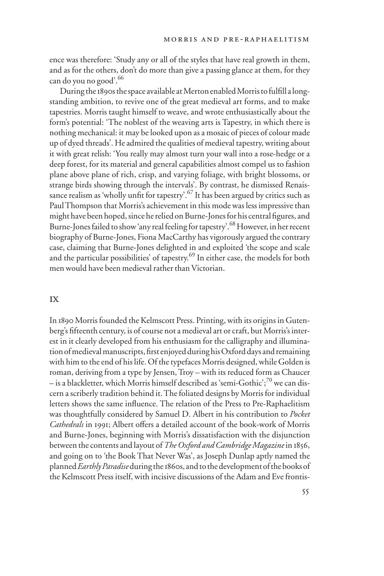ence was therefore: 'Study any or all of the styles that have real growth in them, and as for the others, don't do more than give a passing glance at them, for they can do you no good'.<sup>66</sup>

During the 1890s the space available at Merton enabled Morris to fulfill a longstanding ambition, to revive one of the great medieval art forms, and to make tapestries. Morris taught himself to weave, and wrote enthusiastically about the form's potential: 'The noblest of the weaving arts is Tapestry, in which there is nothing mechanical: it may be looked upon as a mosaic of pieces of colour made up of dyed threads'. He admired the qualities of medieval tapestry, writing about it with great relish: 'You really may almost turn your wall into a rose-hedge or a deep forest, for its material and general capabilities almost compel us to fashion plane above plane of rich, crisp, and varying foliage, with bright blossoms, or strange birds showing through the intervals'. By contrast, he dismissed Renaissance realism as 'wholly unfit for tapestry'.<sup>67</sup> It has been argued by critics such as Paul Thompson that Morris's achievement in this mode was less impressive than might have been hoped, since he relied on Burne-Jones for his central figures, and Burne-Jones failed to show 'any real feeling for tapestry'.68 However, in her recent biography of Burne-Jones, Fiona MacCarthy has vigorously argued the contrary case, claiming that Burne-Jones delighted in and exploited 'the scope and scale and the particular possibilities' of tapestry.<sup>69</sup> In either case, the models for both men would have been medieval rather than Victorian.

## ix

In 1890 Morris founded the Kelmscott Press. Printing, with its origins in Gutenberg's fifteenth century, is of course not a medieval art or craft, but Morris's interest in it clearly developed from his enthusiasm for the calligraphy and illumination of medieval manuscripts, first enjoyed during his Oxford days and remaining with him to the end of his life. Of the typefaces Morris designed, while Golden is roman, deriving from a type by Jensen, Troy – with its reduced form as Chaucer – is a blackletter, which Morris himself described as 'semi-Gothic'; $7^0$  we can discern a scriberly tradition behind it. The foliated designs by Morris for individual letters shows the same influence. The relation of the Press to Pre-Raphaelitism was thoughtfully considered by Samuel D. Albert in his contribution to *Pocket Cathedrals* in 1991; Albert offers a detailed account of the book-work of Morris and Burne-Jones, beginning with Morris's dissatisfaction with the disjunction between the contents and layout of *The Oxford and Cambridge Magazine* in 1856, and going on to 'the Book That Never Was', as Joseph Dunlap aptly named the planned *Earthly Paradise* during the 1860s, and to the development of the books of the Kelmscott Press itself, with incisive discussions of the Adam and Eve frontis-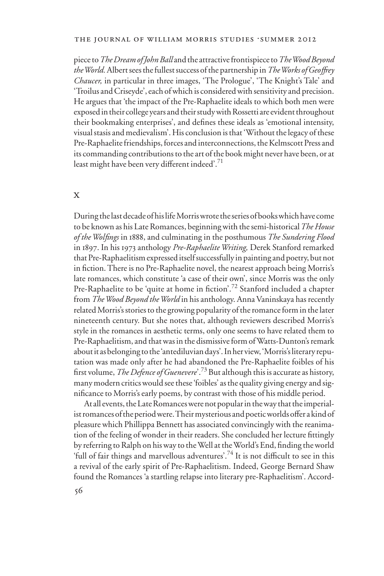piece to *The Dream of John Ball* and the attractive frontispiece to *The Wood Beyond the World.* Albert sees the fullest success of the partnership in *The Works of GeoVrey Chaucer,* in particular in three images, 'The Prologue', 'The Knight's Tale' and 'Troilus and Criseyde', each of which is considered with sensitivity and precision. He argues that 'the impact of the Pre-Raphaelite ideals to which both men were exposed in their college years and their study with Rossetti are evident throughout their bookmaking enterprises', and defines these ideals as 'emotional intensity, visual stasis and medievalism'. His conclusion is that 'Without the legacy of these Pre-Raphaelite friendships, forces and interconnections, the Kelmscott Press and its commanding contributions to the art of the book might never have been, or at least might have been very different indeed'.<sup>71</sup>

## x

During the last decade of his life Morris wrote the series of books which have come to be known as his Late Romances, beginning with the semi-historical *The House of the WolWngs* in 1888, and culminating in the posthumous *The Sundering Flood*  in 1897. In his 1973 anthology *Pre-Raphaelite Writing,* Derek Stanford remarked that Pre-Raphaelitism expressed itself successfully in painting and poetry, but not in fiction. There is no Pre-Raphaelite novel, the nearest approach being Morris's late romances, which constitute 'a case of their own', since Morris was the only Pre-Raphaelite to be 'quite at home in fiction'.<sup>72</sup> Stanford included a chapter from *The Wood Beyond the World* in his anthology. Anna Vaninskaya has recently related Morris's stories to the growing popularity of the romance form in the later nineteenth century. But she notes that, although reviewers described Morris's style in the romances in aesthetic terms, only one seems to have related them to Pre-Raphaelitism, and that was in the dismissive form of Watts-Dunton's remark about it as belonging to the 'antediluvian days'. In her view, 'Morris's literary reputation was made only after he had abandoned the Pre-Raphaelite foibles of his first volume, *The Defence of Guenevere*'.<sup>73</sup> But although this is accurate as history, many modern critics would see these 'foibles' as the quality giving energy and significance to Morris's early poems, by contrast with those of his middle period.

At all events, the Late Romances were not popular in the way that the imperialist romances of the period were. Their mysterious and poetic worlds offer a kind of pleasure which Phillippa Bennett has associated convincingly with the reanimation of the feeling of wonder in their readers. She concluded her lecture fittingly by referring to Ralph on his way to the Well at the World's End, finding the world 'full of fair things and marvellous adventures'.<sup>74</sup> It is not difficult to see in this a revival of the early spirit of Pre-Raphaelitism. Indeed, George Bernard Shaw found the Romances 'a startling relapse into literary pre-Raphaelitism'. Accord-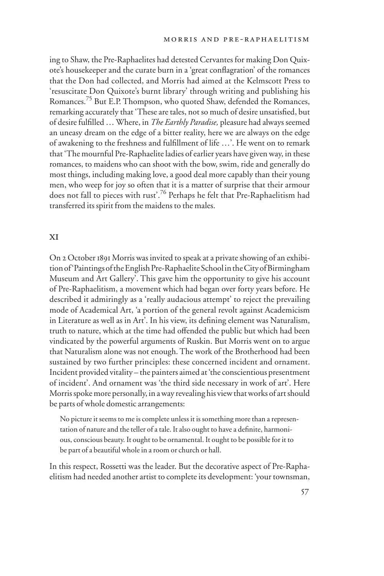ing to Shaw, the Pre-Raphaelites had detested Cervantes for making Don Quixote's housekeeper and the curate burn in a 'great conflagration' of the romances that the Don had collected, and Morris had aimed at the Kelmscott Press to 'resuscitate Don Quixote's burnt library' through writing and publishing his Romances.<sup>75</sup> But E.P. Thompson, who quoted Shaw, defended the Romances, remarking accurately that 'These are tales, not so much of desire unsatisfied, but of desire fulfilled ... Where, in *The Earthly Paradise*, pleasure had always seemed an uneasy dream on the edge of a bitter reality, here we are always on the edge of awakening to the freshness and fulfillment of life ...'. He went on to remark that 'The mournful Pre-Raphaelite ladies of earlier years have given way, in these romances, to maidens who can shoot with the bow, swim, ride and generally do most things, including making love, a good deal more capably than their young men, who weep for joy so often that it is a matter of surprise that their armour does not fall to pieces with rust'.76 Perhaps he felt that Pre-Raphaelitism had transferred its spirit from the maidens to the males.

## xi

On 2 October 1891 Morris was invited to speak at a private showing of an exhibition of 'Paintings of the English Pre-Raphaelite School in the City of Birmingham Museum and Art Gallery'. This gave him the opportunity to give his account of Pre-Raphaelitism, a movement which had began over forty years before. He described it admiringly as a 'really audacious attempt' to reject the prevailing mode of Academical Art, 'a portion of the general revolt against Academicism in Literature as well as in Art'. In his view, its defining element was Naturalism, truth to nature, which at the time had offended the public but which had been vindicated by the powerful arguments of Ruskin. But Morris went on to argue that Naturalism alone was not enough. The work of the Brotherhood had been sustained by two further principles: these concerned incident and ornament. Incident provided vitality – the painters aimed at 'the conscientious presentment of incident'. And ornament was 'the third side necessary in work of art'. Here Morris spoke more personally, in a way revealing his view that works of art should be parts of whole domestic arrangements:

No picture it seems to me is complete unless it is something more than a representation of nature and the teller of a tale. It also ought to have a definite, harmonious, conscious beauty. It ought to be ornamental. It ought to be possible for it to be part of a beautiful whole in a room or church or hall.

In this respect, Rossetti was the leader. But the decorative aspect of Pre-Raphaelitism had needed another artist to complete its development: 'your townsman,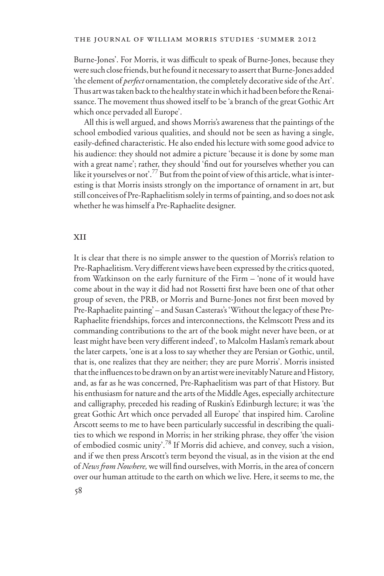Burne-Jones'. For Morris, it was difficult to speak of Burne-Jones, because they were such close friends, but he found it necessary to assert that Burne-Jones added 'the element of *perfect* ornamentation, the completely decorative side of the Art'. Thus art was taken back to the healthy state in which it had been before the Renaissance. The movement thus showed itself to be 'a branch of the great Gothic Art which once pervaded all Europe'.

All this is well argued, and shows Morris's awareness that the paintings of the school embodied various qualities, and should not be seen as having a single, easily-defined characteristic. He also ended his lecture with some good advice to his audience: they should not admire a picture 'because it is done by some man with a great name'; rather, they should 'find out for yourselves whether you can like it yourselves or not'.77 But from the point of view of this article, what is interesting is that Morris insists strongly on the importance of ornament in art, but still conceives of Pre-Raphaelitism solely in terms of painting, and so does not ask whether he was himself a Pre-Raphaelite designer.

### xii

It is clear that there is no simple answer to the question of Morris's relation to Pre-Raphaelitism. Very different views have been expressed by the critics quoted, from Watkinson on the early furniture of the Firm – 'none of it would have come about in the way it did had not Rossetti first have been one of that other group of seven, the PRB, or Morris and Burne-Jones not first been moved by Pre-Raphaelite painting' – and Susan Casteras's 'Without the legacy of these Pre-Raphaelite friendships, forces and interconnections, the Kelmscott Press and its commanding contributions to the art of the book might never have been, or at least might have been very different indeed', to Malcolm Haslam's remark about the later carpets, 'one is at a loss to say whether they are Persian or Gothic, until, that is, one realizes that they are neither; they are pure Morris'. Morris insisted that the influences to be drawn on by an artist were inevitably Nature and History, and, as far as he was concerned, Pre-Raphaelitism was part of that History. But his enthusiasm for nature and the arts of the Middle Ages, especially architecture and calligraphy, preceded his reading of Ruskin's Edinburgh lecture; it was 'the great Gothic Art which once pervaded all Europe' that inspired him. Caroline Arscott seems to me to have been particularly successful in describing the qualities to which we respond in Morris; in her striking phrase, they offer 'the vision of embodied cosmic unity'.78 If Morris did achieve, and convey, such a vision, and if we then press Arscott's term beyond the visual, as in the vision at the end of *News from Nowhere*, we will find ourselves, with Morris, in the area of concern over our human attitude to the earth on which we live. Here, it seems to me, the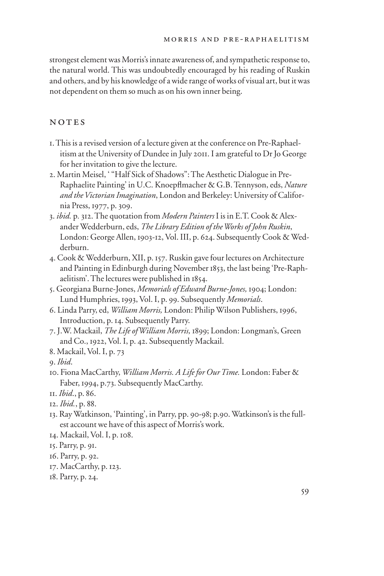strongest element was Morris's innate awareness of, and sympathetic response to, the natural world. This was undoubtedly encouraged by his reading of Ruskin and others, and by his knowledge of a wide range of works of visual art, but it was not dependent on them so much as on his own inner being.

## NOTES

- 1. This is a revised version of a lecture given at the conference on Pre-Raphaelitism at the University of Dundee in July 2011. I am grateful to Dr Jo George for her invitation to give the lecture.
- 2. Martin Meisel, ' "Half Sick of Shadows": The Aesthetic Dialogue in Pre-Raphaelite Painting' in U.C. Knoepflmacher & G.B. Tennyson, eds, *Nature and the Victorian Imagination*, London and Berkeley: University of California Press, 1977, p. 309.
- 3. *ibid.* p*.* 312. The quotation from *Modern Painters* I is in E.T. Cook & Alexander Wedderburn, eds, *The Library Edition of the Works of John Ruskin*, London: George Allen, 1903-12, Vol. III, p. 624. Subsequently Cook & Wedderburn.
- 4. Cook & Wedderburn, XII, p. 157. Ruskin gave four lectures on Architecture and Painting in Edinburgh during November 1853, the last being 'Pre-Raphaelitism'. The lectures were published in 1854.
- 5. Georgiana Burne-Jones, *Memorials of Edward Burne-Jones,* 1904; London: Lund Humphries, 1993, Vol. I, p. 99. Subsequently *Memorials*.
- 6. Linda Parry, ed, *William Morris,* London: Philip Wilson Publishers, 1996, Introduction, p. 14. Subsequently Parry.
- 7. J.W. Mackail, *The Life of William Morris,* 1899; London: Longman's, Green and Co., 1922, Vol. I, p. 42. Subsequently Mackail.
- 8. Mackail, Vol. I, p. 73
- 9. *Ibid*.
- 10. Fiona MacCarthy, *William Morris. A Life for Our Time.* London: Faber & Faber, 1994, p.73. Subsequently MacCarthy.
- 11. *Ibid*., p. 86.
- 12. *Ibid.*, p. 88.
- 13. Ray Watkinson, 'Painting', in Parry, pp. 90-98; p.90. Watkinson's is the fullest account we have of this aspect of Morris's work.
- 14. Mackail, Vol. I, p. 108.
- 15. Parry, p. 91.
- 16. Parry, p. 92.
- 17. MacCarthy, p. 123.
- 18. Parry, p. 24.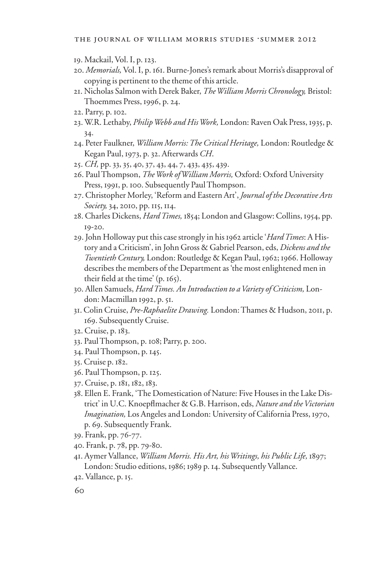- . Mackail, Vol. I, p. 123.
- . *Memorials,* Vol. I, p. 161. Burne-Jones's remark about Morris's disapproval of copying is pertinent to the theme of this article.
- . Nicholas Salmon with Derek Baker, *The William Morris Chronology,* Bristol: Thoemmes Press, 1996, p. 24.
- . Parry, p. 102.
- . W.R. Lethaby, *Philip Webb and His Work,* London: Raven Oak Press, 1935, p. .
- . Peter Faulkner, *William Morris: The Critical Heritage,* London: Routledge & Kegan Paul, 1973, p. 32. Afterwards *CH*.
- . *CH,* pp. 33, 35, 40, 37, 43, 44, 7, 433, 435, 439.
- . Paul Thompson, *The Work of William Morris,* Oxford: Oxford University Press, 1991, p. 100. Subsequently Paul Thompson.
- . Christopher Morley, 'Reform and Eastern Art', *Journal of the Decorative Arts Society,* 34, 2010, pp. 115, 114.
- . Charles Dickens, *Hard Times,* 1854; London and Glasgow: Collins, 1954, pp. -20.
- . John Holloway put this case strongly in his 1962 article '*Hard Times*: A History and a Criticism', in John Gross & Gabriel Pearson, eds, *Dickens and the Twentieth Century,* London: Routledge & Kegan Paul, 1962; 1966. Holloway describes the members of the Department as 'the most enlightened men in their field at the time'  $(p. 165)$ .
- . Allen Samuels, *Hard Times. An Introduction to a Variety of Criticism,* London: Macmillan 1992, p. 51.
- . Colin Cruise, *Pre-Raphaelite Drawing.* London: Thames & Hudson, 2011, p. . Subsequently Cruise.
- . Cruise, p. 183.
- . Paul Thompson, p. 108; Parry, p. 200.
- . Paul Thompson, p. 145.
- . Cruise p. 182.
- . Paul Thompson, p. 125.
- . Cruise, p. 181, 182, 183.
- . Ellen E. Frank, 'The Domestication of Nature: Five Houses in the Lake District' in U.C. Knoepflmacher & G.B. Harrison, eds, *Nature and the Victorian Imagination,* Los Angeles and London: University of California Press, 1970, p. 69. Subsequently Frank.
- . Frank, pp. 76-77.
- . Frank, p. 78, pp. 79-80.
- . Aymer Vallance, *William Morris. His Art, his Writings, his Public Life,* 1897; London: Studio editions, 1986; 1989 p. 14. Subsequently Vallance.
- . Vallance, p. 15.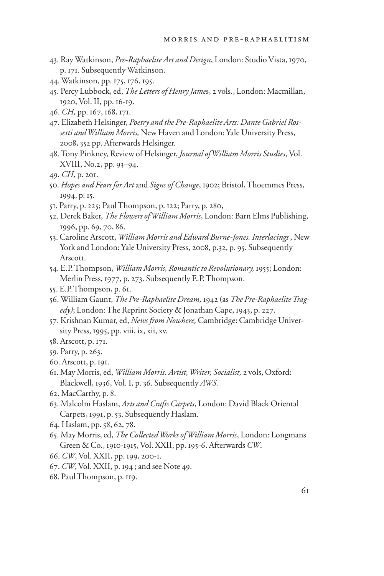- . Ray Watkinson, *Pre-Raphaelite Art and Design*, London: Studio Vista, 1970, p. 171. Subsequently Watkinson.
- . Watkinson, pp. 175, 176, 195.
- . Percy Lubbock, ed, *The Letters of Henry Jame*s, 2 vols., London: Macmillan, , Vol. II, pp. 16-19.
- . *CH,* pp. 167, 168, 171.
- . Elizabeth Helsinger, *Poetry and the Pre-Raphaelite Arts: Dante Gabriel Rossetti and William Morris,* New Haven and London: Yale University Press, , 352 pp. Afterwards Helsinger.
- . Tony Pinkney, Review of Helsinger, *Journal of William Morris Studies*, Vol. XVIII, No.2, pp. 93–94.
- . *CH,* p. 201.
- . *Hopes and Fears for Art* and *Signs of Change*, 1902; Bristol, Thoemmes Press, , p. 15.
- . Parry, p. 225; Paul Thompson, p. 122; Parry, p. 280,
- . Derek Baker, *The Flowers of William Morris*, London: Barn Elms Publishing, , pp. 69, 70, 86.
- . Caroline Arscott, *William Morris and Edward Burne-Jones. Interlacings* , New York and London: Yale University Press, 2008, p.32, p. 95. Subsequently Arscott.
- . E.P. Thompson, *William Morris, Romantic to Revolutionary,* 1955; London: Merlin Press, 1977, p. 273. Subsequently E.P. Thompson.
- . E.P. Thompson, p. 61.
- . William Gaunt, *The Pre-Raphaelite Dream,* 1942 (as *The Pre-Raphaelite Tragedy)*; London: The Reprint Society & Jonathan Cape, 1943, p. 227.
- . Krishnan Kumar, ed, *News from Nowhere,* Cambridge: Cambridge University Press, 1995, pp. viii, ix, xii, xv.
- . Arscott, p. 171.
- . Parry, p. 263.
- . Arscott, p. 191.
- . May Morris, ed, *William Morris. Artist, Writer, Socialist,* 2 vols, Oxford: Blackwell, 1936, Vol. I, p. 36. Subsequently *AWS.*
- . MacCarthy, p. 8.
- . Malcolm Haslam, *Arts and Crafts Carpets*, London: David Black Oriental Carpets, 1991, p. 53. Subsequently Haslam.
- . Haslam, pp. 58, 62, 78.
- . May Morris, ed, *The Collected Works of William Morris*, London: Longmans Green & Co., 1910-1915, Vol. XXII, pp. 195-6. Afterwards *CW*.
- . *CW*, Vol. XXII, pp. 199, 200-1.
- . *CW*, Vol. XXII, p. 194 ; and see Note 49.
- . Paul Thompson, p. 119.